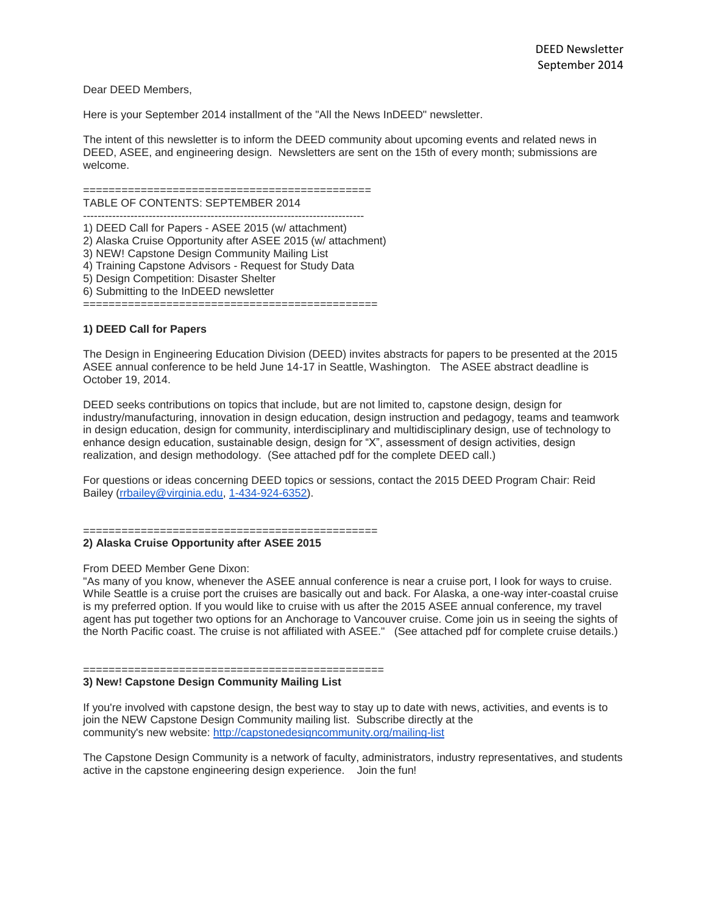### Dear DEED Members,

Here is your September 2014 installment of the "All the News InDEED" newsletter.

The intent of this newsletter is to inform the DEED community about upcoming events and related news in DEED, ASEE, and engineering design. Newsletters are sent on the 15th of every month; submissions are welcome.

============================================= TABLE OF CONTENTS: SEPTEMBER 2014

----------------------------------------------------------------------------- 1) DEED Call for Papers - ASEE 2015 (w/ attachment) 2) Alaska Cruise Opportunity after ASEE 2015 (w/ attachment) 3) NEW! Capstone Design Community Mailing List 4) Training Capstone Advisors - Request for Study Data 5) Design Competition: Disaster Shelter 6) Submitting to the InDEED newsletter ==============================================

### **1) DEED Call for Papers**

The Design in Engineering Education Division (DEED) invites abstracts for papers to be presented at the 2015 ASEE annual conference to be held June 14-17 in Seattle, Washington. The ASEE abstract deadline is October 19, 2014.

DEED seeks contributions on topics that include, but are not limited to, capstone design, design for industry/manufacturing, innovation in design education, design instruction and pedagogy, teams and teamwork in design education, design for community, interdisciplinary and multidisciplinary design, use of technology to enhance design education, sustainable design, design for "X", assessment of design activities, design realization, and design methodology. (See attached pdf for the complete DEED call.)

For questions or ideas concerning DEED topics or sessions, contact the 2015 DEED Program Chair: Reid Bailey [\(rrbailey@virginia.edu,](mailto:rrbailey@virginia.edu) [1-434-924-6352\)](tel:1-434-924-6352).

#### ============================================== **2) Alaska Cruise Opportunity after ASEE 2015**

### From DEED Member Gene Dixon:

"As many of you know, whenever the ASEE annual conference is near a cruise port, I look for ways to cruise. While Seattle is a cruise port the cruises are basically out and back. For Alaska, a one-way inter-coastal cruise is my preferred option. If you would like to cruise with us after the 2015 ASEE annual conference, my travel agent has put together two options for an Anchorage to Vancouver cruise. Come join us in seeing the sights of the North Pacific coast. The cruise is not affiliated with ASEE." (See attached pdf for complete cruise details.)

### **3) New! Capstone Design Community Mailing List**

===============================================

If you're involved with capstone design, the best way to stay up to date with news, activities, and events is to join the NEW Capstone Design Community mailing list. Subscribe directly at the community's new website: <http://capstonedesigncommunity.org/mailing-list>

The Capstone Design Community is a network of faculty, administrators, industry representatives, and students active in the capstone engineering design experience. Join the fun!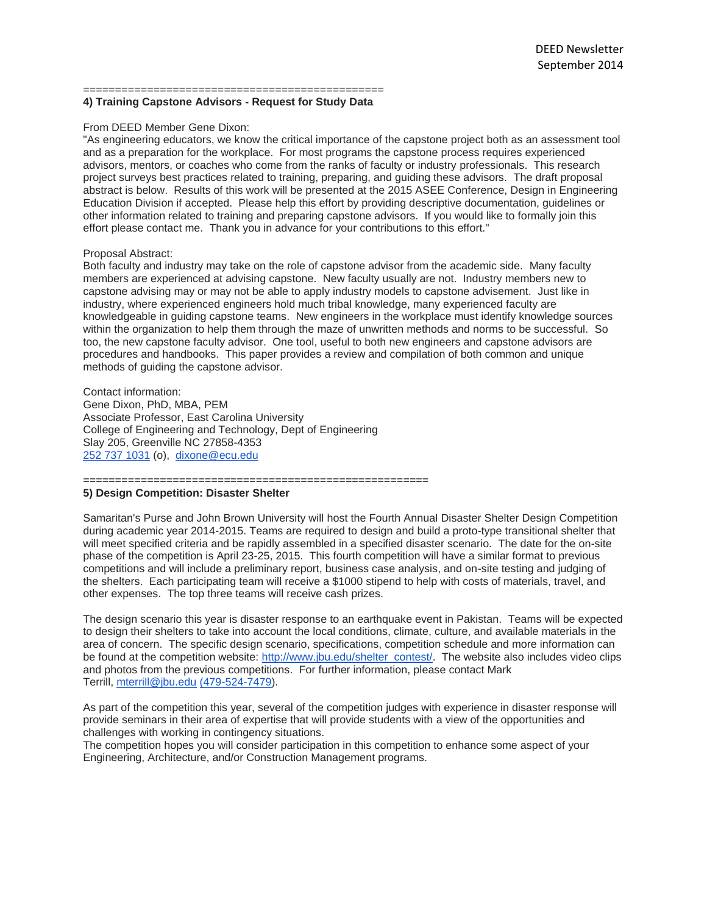=============================================== **4) Training Capstone Advisors - Request for Study Data**

# From DEED Member Gene Dixon:

"As engineering educators, we know the critical importance of the capstone project both as an assessment tool and as a preparation for the workplace. For most programs the capstone process requires experienced advisors, mentors, or coaches who come from the ranks of faculty or industry professionals. This research project surveys best practices related to training, preparing, and guiding these advisors. The draft proposal abstract is below. Results of this work will be presented at the 2015 ASEE Conference, Design in Engineering Education Division if accepted. Please help this effort by providing descriptive documentation, guidelines or other information related to training and preparing capstone advisors. If you would like to formally join this effort please contact me. Thank you in advance for your contributions to this effort."

### Proposal Abstract:

Both faculty and industry may take on the role of capstone advisor from the academic side. Many faculty members are experienced at advising capstone. New faculty usually are not. Industry members new to capstone advising may or may not be able to apply industry models to capstone advisement. Just like in industry, where experienced engineers hold much tribal knowledge, many experienced faculty are knowledgeable in guiding capstone teams. New engineers in the workplace must identify knowledge sources within the organization to help them through the maze of unwritten methods and norms to be successful. So too, the new capstone faculty advisor. One tool, useful to both new engineers and capstone advisors are procedures and handbooks. This paper provides a review and compilation of both common and unique methods of guiding the capstone advisor.

Contact information: Gene Dixon, PhD, MBA, PEM Associate Professor, East Carolina University College of Engineering and Technology, Dept of Engineering Slay 205, Greenville NC 27858-4353 [252 737 1031](tel:252%20737%201031) (o), [dixone@ecu.edu](mailto:dixone@ecu.edu)

======================================================

### **5) Design Competition: Disaster Shelter**

Samaritan's Purse and John Brown University will host the Fourth Annual Disaster Shelter Design Competition during academic year 2014-2015. Teams are required to design and build a proto-type transitional shelter that will meet specified criteria and be rapidly assembled in a specified disaster scenario. The date for the on-site phase of the competition is April 23-25, 2015. This fourth competition will have a similar format to previous competitions and will include a preliminary report, business case analysis, and on-site testing and judging of the shelters. Each participating team will receive a \$1000 stipend to help with costs of materials, travel, and other expenses. The top three teams will receive cash prizes.

The design scenario this year is disaster response to an earthquake event in Pakistan. Teams will be expected to design their shelters to take into account the local conditions, climate, culture, and available materials in the area of concern. The specific design scenario, specifications, competition schedule and more information can be found at the competition website: [http://www.jbu.edu/shelter\\_contest/.](http://www.jbu.edu/shelter_contest/) The website also includes video clips and photos from the previous competitions. For further information, please contact Mark Terrill, [mterrill@jbu.edu](mailto:mterrill@jbu.edu) [\(479-524-7479\)](tel:%28479-524-7479).

As part of the competition this year, several of the competition judges with experience in disaster response will provide seminars in their area of expertise that will provide students with a view of the opportunities and challenges with working in contingency situations.

The competition hopes you will consider participation in this competition to enhance some aspect of your Engineering, Architecture, and/or Construction Management programs.